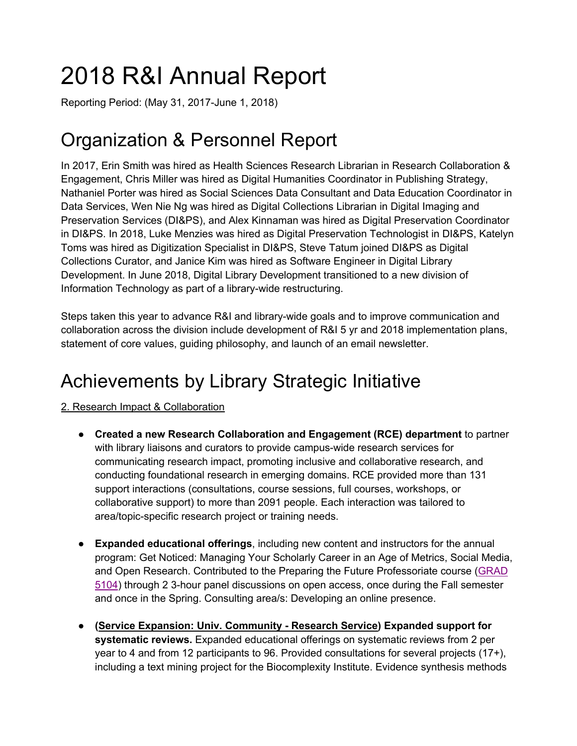# 2018 R&I Annual Report

Reporting Period: (May 31, 2017-June 1, 2018)

# Organization & Personnel Report

In 2017, Erin Smith was hired as Health Sciences Research Librarian in Research Collaboration & Engagement, Chris Miller was hired as Digital Humanities Coordinator in Publishing Strategy, Nathaniel Porter was hired as Social Sciences Data Consultant and Data Education Coordinator in Data Services, Wen Nie Ng was hired as Digital Collections Librarian in Digital Imaging and Preservation Services (DI&PS), and Alex Kinnaman was hired as Digital Preservation Coordinator in DI&PS. In 2018, Luke Menzies was hired as Digital Preservation Technologist in DI&PS, Katelyn Toms was hired as Digitization Specialist in DI&PS, Steve Tatum joined DI&PS as Digital Collections Curator, and Janice Kim was hired as Software Engineer in Digital Library Development. In June 2018, Digital Library Development transitioned to a new division of Information Technology as part of a library-wide restructuring.

Steps taken this year to advance R&I and library-wide goals and to improve communication and collaboration across the division include development of R&I 5 yr and 2018 implementation plans, statement of core values, guiding philosophy, and launch of an email newsletter.

# Achievements by Library Strategic Initiative

2. Research Impact & Collaboration

- **Created a new Research Collaboration and Engagement (RCE) department** to partner with library liaisons and curators to provide campus-wide research services for communicating research impact, promoting inclusive and collaborative research, and conducting foundational research in emerging domains. RCE provided more than 131 support interactions (consultations, course sessions, full courses, workshops, or collaborative support) to more than 2091 people. Each interaction was tailored to area/topic-specific research project or training needs.
- **Expanded educational offerings**, including new content and instructors for the annual program: Get Noticed: Managing Your Scholarly Career in an Age of Metrics, Social Media, and Open Research. Contributed to the Preparing the Future Professoriate course (GRAD 5104) through 2 3-hour panel discussions on open access, once during the Fall semester and once in the Spring. Consulting area/s: Developing an online presence.
- **(Service Expansion: Univ. Community - Research Service) Expanded support for systematic reviews.** Expanded educational offerings on systematic reviews from 2 per year to 4 and from 12 participants to 96. Provided consultations for several projects (17+), including a text mining project for the Biocomplexity Institute. Evidence synthesis methods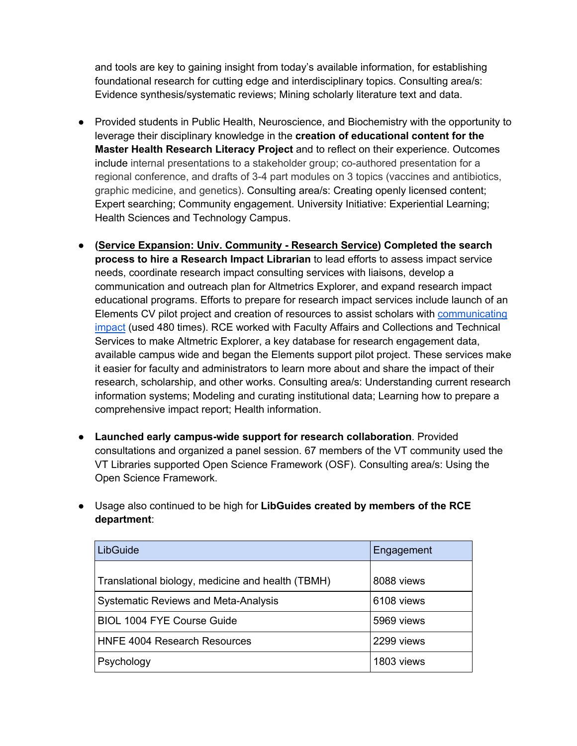and tools are key to gaining insight from today's available information, for establishing foundational research for cutting edge and interdisciplinary topics. Consulting area/s: Evidence synthesis/systematic reviews; Mining scholarly literature text and data.

- Provided students in Public Health, Neuroscience, and Biochemistry with the opportunity to leverage their disciplinary knowledge in the **creation of educational content for the Master Health Research Literacy Project** and to reflect on their experience. Outcomes include internal presentations to a stakeholder group; co-authored presentation for a regional conference, and drafts of 3-4 part modules on 3 topics (vaccines and antibiotics, graphic medicine, and genetics). Consulting area/s: Creating openly licensed content; Expert searching; Community engagement. University Initiative: Experiential Learning; Health Sciences and Technology Campus.
- **(Service Expansion: Univ. Community - Research Service) Completed the search process to hire a Research Impact Librarian** to lead efforts to assess impact service needs, coordinate research impact consulting services with liaisons, develop a communication and outreach plan for Altmetrics Explorer, and expand research impact educational programs. Efforts to prepare for research impact services include launch of an Elements CV pilot project and creation of resources to assist scholars with communicating impact (used 480 times). RCE worked with Faculty Affairs and Collections and Technical Services to make Altmetric Explorer, a key database for research engagement data, available campus wide and began the Elements support pilot project. These services make it easier for faculty and administrators to learn more about and share the impact of their research, scholarship, and other works. Consulting area/s: Understanding current research information systems; Modeling and curating institutional data; Learning how to prepare a comprehensive impact report; Health information.
- **Launched early campus-wide support for research collaboration**. Provided consultations and organized a panel session. 67 members of the VT community used the VT Libraries supported Open Science Framework (OSF). Consulting area/s: Using the Open Science Framework.
- Usage also continued to be high for **LibGuides created by members of the RCE department**:

| LibGuide                                          | Engagement |
|---------------------------------------------------|------------|
| Translational biology, medicine and health (TBMH) | 8088 views |
| <b>Systematic Reviews and Meta-Analysis</b>       | 6108 views |
| <b>BIOL 1004 FYE Course Guide</b>                 | 5969 views |
| <b>HNFE 4004 Research Resources</b>               | 2299 views |
| Psychology                                        | 1803 views |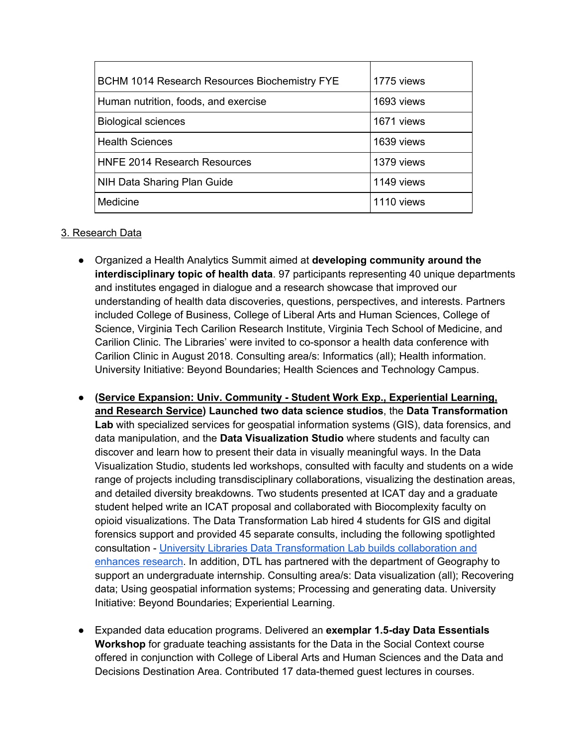| <b>BCHM 1014 Research Resources Biochemistry FYE</b> | 1775 views |
|------------------------------------------------------|------------|
| Human nutrition, foods, and exercise                 | 1693 views |
| <b>Biological sciences</b>                           | 1671 views |
| <b>Health Sciences</b>                               | 1639 views |
| <b>HNFE 2014 Research Resources</b>                  | 1379 views |
| NIH Data Sharing Plan Guide                          | 1149 views |
| Medicine                                             | 1110 views |

#### 3. Research Data

- Organized a Health Analytics Summit aimed at **developing community around the interdisciplinary topic of health data**. 97 participants representing 40 unique departments and institutes engaged in dialogue and a research showcase that improved our understanding of health data discoveries, questions, perspectives, and interests. Partners included College of Business, College of Liberal Arts and Human Sciences, College of Science, Virginia Tech Carilion Research Institute, Virginia Tech School of Medicine, and Carilion Clinic. The Libraries' were invited to co-sponsor a health data conference with Carilion Clinic in August 2018. Consulting area/s: Informatics (all); Health information. University Initiative: Beyond Boundaries; Health Sciences and Technology Campus.
- **(Service Expansion: Univ. Community - Student Work Exp., Experiential Learning, and Research Service) Launched two data science studios**, the **Data Transformation Lab** with specialized services for geospatial information systems (GIS), data forensics, and data manipulation, and the **Data Visualization Studio** where students and faculty can discover and learn how to present their data in visually meaningful ways. In the Data Visualization Studio, students led workshops, consulted with faculty and students on a wide range of projects including transdisciplinary collaborations, visualizing the destination areas, and detailed diversity breakdowns. Two students presented at ICAT day and a graduate student helped write an ICAT proposal and collaborated with Biocomplexity faculty on opioid visualizations. The Data Transformation Lab hired 4 students for GIS and digital forensics support and provided 45 separate consults, including the following spotlighted consultation - University Libraries Data Transformation Lab builds collaboration and enhances research. In addition, DTL has partnered with the department of Geography to support an undergraduate internship. Consulting area/s: Data visualization (all); Recovering data; Using geospatial information systems; Processing and generating data. University Initiative: Beyond Boundaries; Experiential Learning.
- Expanded data education programs. Delivered an **exemplar 1.5-day Data Essentials Workshop** for graduate teaching assistants for the Data in the Social Context course offered in conjunction with College of Liberal Arts and Human Sciences and the Data and Decisions Destination Area. Contributed 17 data-themed guest lectures in courses.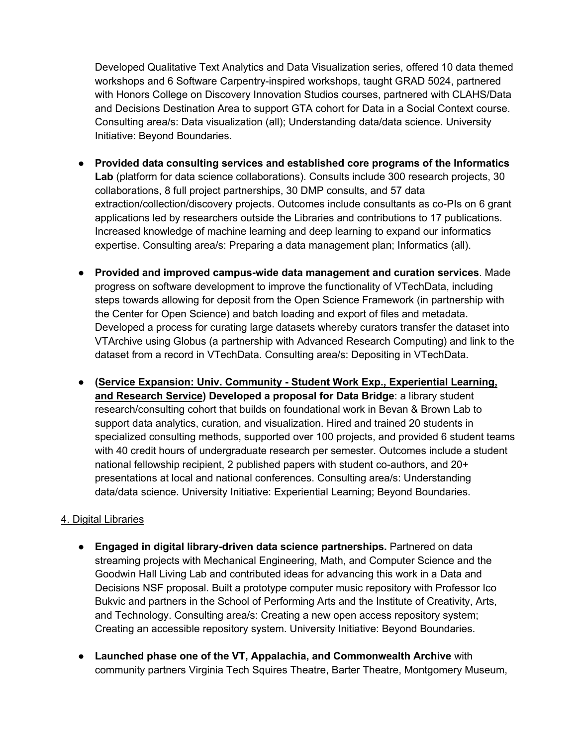Developed Qualitative Text Analytics and Data Visualization series, offered 10 data themed workshops and 6 Software Carpentry-inspired workshops, taught GRAD 5024, partnered with Honors College on Discovery Innovation Studios courses, partnered with CLAHS/Data and Decisions Destination Area to support GTA cohort for Data in a Social Context course. Consulting area/s: Data visualization (all); Understanding data/data science. University Initiative: Beyond Boundaries.

- **Provided data consulting services and established core programs of the Informatics Lab** (platform for data science collaborations). Consults include 300 research projects, 30 collaborations, 8 full project partnerships, 30 DMP consults, and 57 data extraction/collection/discovery projects. Outcomes include consultants as co-PIs on 6 grant applications led by researchers outside the Libraries and contributions to 17 publications. Increased knowledge of machine learning and deep learning to expand our informatics expertise. Consulting area/s: Preparing a data management plan; Informatics (all).
- **Provided and improved campus-wide data management and curation services**. Made progress on software development to improve the functionality of VTechData, including steps towards allowing for deposit from the Open Science Framework (in partnership with the Center for Open Science) and batch loading and export of files and metadata. Developed a process for curating large datasets whereby curators transfer the dataset into VTArchive using Globus (a partnership with Advanced Research Computing) and link to the dataset from a record in VTechData. Consulting area/s: Depositing in VTechData.
- **(Service Expansion: Univ. Community - Student Work Exp., Experiential Learning, and Research Service) Developed a proposal for Data Bridge**: a library student research/consulting cohort that builds on foundational work in Bevan & Brown Lab to support data analytics, curation, and visualization. Hired and trained 20 students in specialized consulting methods, supported over 100 projects, and provided 6 student teams with 40 credit hours of undergraduate research per semester. Outcomes include a student national fellowship recipient, 2 published papers with student co-authors, and 20+ presentations at local and national conferences. Consulting area/s: Understanding data/data science. University Initiative: Experiential Learning; Beyond Boundaries.

#### 4. Digital Libraries

- **Engaged in digital library-driven data science partnerships.** Partnered on data streaming projects with Mechanical Engineering, Math, and Computer Science and the Goodwin Hall Living Lab and contributed ideas for advancing this work in a Data and Decisions NSF proposal. Built a prototype computer music repository with Professor Ico Bukvic and partners in the School of Performing Arts and the Institute of Creativity, Arts, and Technology. Consulting area/s: Creating a new open access repository system; Creating an accessible repository system. University Initiative: Beyond Boundaries.
- **Launched phase one of the VT, Appalachia, and Commonwealth Archive** with community partners Virginia Tech Squires Theatre, Barter Theatre, Montgomery Museum,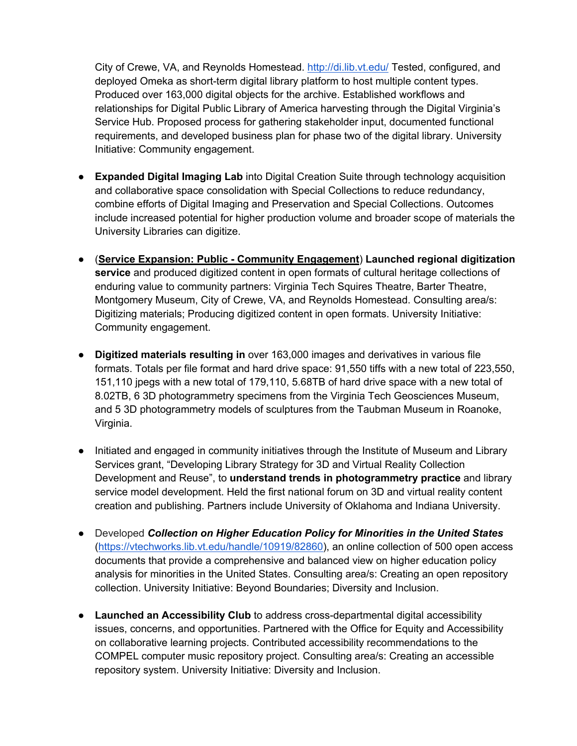City of Crewe, VA, and Reynolds Homestead. http://di.lib.vt.edu/ Tested, configured, and deployed Omeka as short-term digital library platform to host multiple content types. Produced over 163,000 digital objects for the archive. Established workflows and relationships for Digital Public Library of America harvesting through the Digital Virginia's Service Hub. Proposed process for gathering stakeholder input, documented functional requirements, and developed business plan for phase two of the digital library. University Initiative: Community engagement.

- **Expanded Digital Imaging Lab** into Digital Creation Suite through technology acquisition and collaborative space consolidation with Special Collections to reduce redundancy, combine efforts of Digital Imaging and Preservation and Special Collections. Outcomes include increased potential for higher production volume and broader scope of materials the University Libraries can digitize.
- (**Service Expansion: Public - Community Engagement**) **Launched regional digitization service** and produced digitized content in open formats of cultural heritage collections of enduring value to community partners: Virginia Tech Squires Theatre, Barter Theatre, Montgomery Museum, City of Crewe, VA, and Reynolds Homestead. Consulting area/s: Digitizing materials; Producing digitized content in open formats. University Initiative: Community engagement.
- **Digitized materials resulting in** over 163,000 images and derivatives in various file formats. Totals per file format and hard drive space: 91,550 tiffs with a new total of 223,550, 151,110 jpegs with a new total of 179,110, 5.68TB of hard drive space with a new total of 8.02TB, 6 3D photogrammetry specimens from the Virginia Tech Geosciences Museum, and 5 3D photogrammetry models of sculptures from the Taubman Museum in Roanoke, Virginia.
- Initiated and engaged in community initiatives through the Institute of Museum and Library Services grant, "Developing Library Strategy for 3D and Virtual Reality Collection Development and Reuse", to **understand trends in photogrammetry practice** and library service model development. Held the first national forum on 3D and virtual reality content creation and publishing. Partners include University of Oklahoma and Indiana University.
- Developed *Collection on Higher Education Policy for Minorities in the United States* (https://vtechworks.lib.vt.edu/handle/10919/82860), an online collection of 500 open access documents that provide a comprehensive and balanced view on higher education policy analysis for minorities in the United States. Consulting area/s: Creating an open repository collection. University Initiative: Beyond Boundaries; Diversity and Inclusion.
- **Launched an Accessibility Club** to address cross-departmental digital accessibility issues, concerns, and opportunities. Partnered with the Office for Equity and Accessibility on collaborative learning projects. Contributed accessibility recommendations to the COMPEL computer music repository project. Consulting area/s: Creating an accessible repository system. University Initiative: Diversity and Inclusion.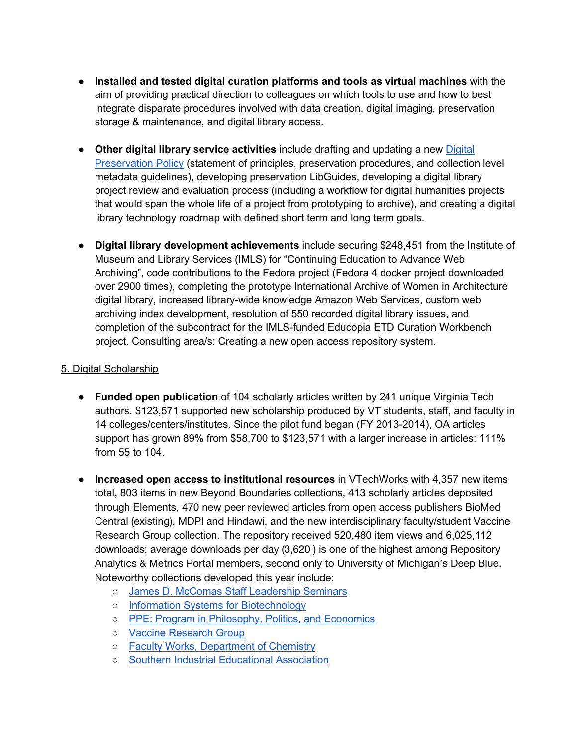- **Installed and tested digital curation platforms and tools as virtual machines** with the aim of providing practical direction to colleagues on which tools to use and how to best integrate disparate procedures involved with data creation, digital imaging, preservation storage & maintenance, and digital library access.
- **Other digital library service activities** include drafting and updating a new Digital Preservation Policy (statement of principles, preservation procedures, and collection level metadata guidelines), developing preservation LibGuides, developing a digital library project review and evaluation process (including a workflow for digital humanities projects that would span the whole life of a project from prototyping to archive), and creating a digital library technology roadmap with defined short term and long term goals.
- **Digital library development achievements** include securing \$248,451 from the Institute of Museum and Library Services (IMLS) for "Continuing Education to Advance Web Archiving", code contributions to the Fedora project (Fedora 4 docker project downloaded over 2900 times), completing the prototype International Archive of Women in Architecture digital library, increased library-wide knowledge Amazon Web Services, custom web archiving index development, resolution of 550 recorded digital library issues, and completion of the subcontract for the IMLS-funded Educopia ETD Curation Workbench project. Consulting area/s: Creating a new open access repository system.

#### 5. Digital Scholarship

- **Funded open publication** of 104 scholarly articles written by 241 unique Virginia Tech authors. \$123,571 supported new scholarship produced by VT students, staff, and faculty in 14 colleges/centers/institutes. Since the pilot fund began (FY 2013-2014), OA articles support has grown 89% from \$58,700 to \$123,571 with a larger increase in articles: 111% from 55 to 104.
- **Increased open access to institutional resources** in VTechWorks with 4,357 new items total, 803 items in new Beyond Boundaries collections, 413 scholarly articles deposited through Elements, 470 new peer reviewed articles from open access publishers BioMed Central (existing), MDPI and Hindawi, and the new interdisciplinary faculty/student Vaccine Research Group collection. The repository received 520,480 item views and 6,025,112 downloads; average downloads per day (3,620 ) is one of the highest among Repository Analytics & Metrics Portal members, second only to University of Michigan's Deep Blue. Noteworthy collections developed this year include:
	- James D. McComas Staff Leadership Seminars
	- Information Systems for Biotechnology
	- PPE: Program in Philosophy, Politics, and Economics
	- Vaccine Research Group
	- Faculty Works, Department of Chemistry
	- Southern Industrial Educational Association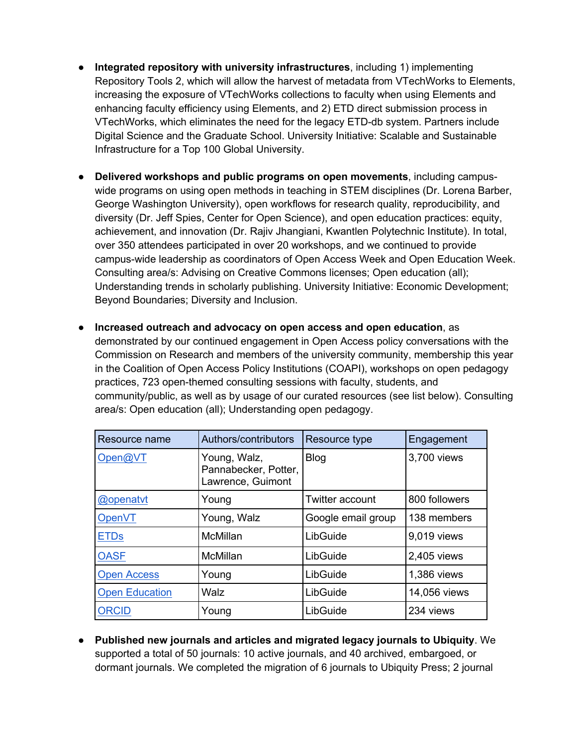- **Integrated repository with university infrastructures**, including 1) implementing Repository Tools 2, which will allow the harvest of metadata from VTechWorks to Elements, increasing the exposure of VTechWorks collections to faculty when using Elements and enhancing faculty efficiency using Elements, and 2) ETD direct submission process in VTechWorks, which eliminates the need for the legacy ETD-db system. Partners include Digital Science and the Graduate School. University Initiative: Scalable and Sustainable Infrastructure for a Top 100 Global University.
- **Delivered workshops and public programs on open movements**, including campuswide programs on using open methods in teaching in STEM disciplines (Dr. Lorena Barber, George Washington University), open workflows for research quality, reproducibility, and diversity (Dr. Jeff Spies, Center for Open Science), and open education practices: equity, achievement, and innovation (Dr. Rajiv Jhangiani, Kwantlen Polytechnic Institute). In total, over 350 attendees participated in over 20 workshops, and we continued to provide campus-wide leadership as coordinators of Open Access Week and Open Education Week. Consulting area/s: Advising on Creative Commons licenses; Open education (all); Understanding trends in scholarly publishing. University Initiative: Economic Development; Beyond Boundaries; Diversity and Inclusion.
- **Increased outreach and advocacy on open access and open education**, as demonstrated by our continued engagement in Open Access policy conversations with the Commission on Research and members of the university community, membership this year in the Coalition of Open Access Policy Institutions (COAPI), workshops on open pedagogy practices, 723 open-themed consulting sessions with faculty, students, and community/public, as well as by usage of our curated resources (see list below). Consulting area/s: Open education (all); Understanding open pedagogy.

| Resource name         | Authors/contributors                                      | Resource type          | Engagement    |
|-----------------------|-----------------------------------------------------------|------------------------|---------------|
| Open@VT               | Young, Walz,<br>Pannabecker, Potter,<br>Lawrence, Guimont | <b>Blog</b>            | 3,700 views   |
| @openatyt             | Young                                                     | <b>Twitter account</b> | 800 followers |
| OpenVT                | Young, Walz                                               | Google email group     | 138 members   |
| <b>ETDs</b>           | McMillan                                                  | LibGuide               | 9.019 views   |
| <b>OASF</b>           | McMillan                                                  | LibGuide               | 2,405 views   |
| <b>Open Access</b>    | Young                                                     | LibGuide               | 1,386 views   |
| <b>Open Education</b> | Walz                                                      | LibGuide               | 14,056 views  |
| <b>ORCID</b>          | Young                                                     | LibGuide               | 234 views     |

● **Published new journals and articles and migrated legacy journals to Ubiquity**. We supported a total of 50 journals: 10 active journals, and 40 archived, embargoed, or dormant journals. We completed the migration of 6 journals to Ubiquity Press; 2 journal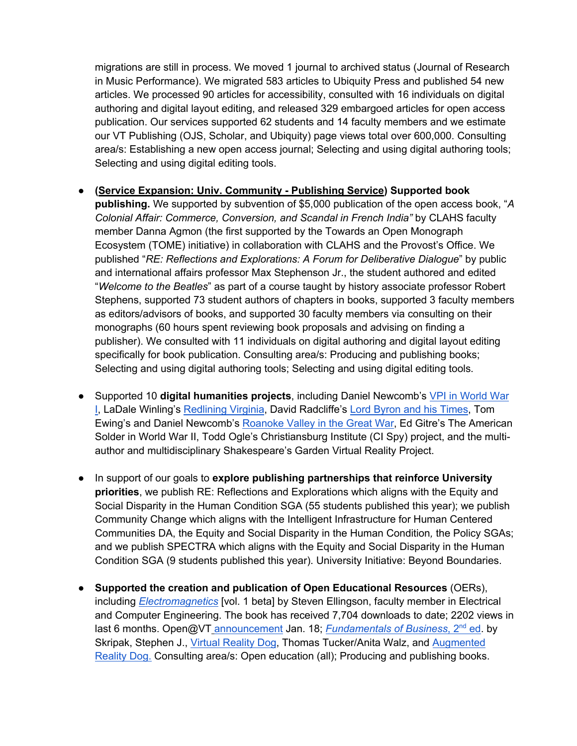migrations are still in process. We moved 1 journal to archived status (Journal of Research in Music Performance). We migrated 583 articles to Ubiquity Press and published 54 new articles. We processed 90 articles for accessibility, consulted with 16 individuals on digital authoring and digital layout editing, and released 329 embargoed articles for open access publication. Our services supported 62 students and 14 faculty members and we estimate our VT Publishing (OJS, Scholar, and Ubiquity) page views total over 600,000. Consulting area/s: Establishing a new open access journal; Selecting and using digital authoring tools; Selecting and using digital editing tools.

#### ● **(Service Expansion: Univ. Community - Publishing Service) Supported book**

**publishing.** We supported by subvention of \$5,000 publication of the open access book, "*A Colonial Affair: Commerce, Conversion, and Scandal in French India"* by CLAHS faculty member Danna Agmon (the first supported by the Towards an Open Monograph Ecosystem (TOME) initiative) in collaboration with CLAHS and the Provost's Office. We published "*RE: Reflections and Explorations: A Forum for Deliberative Dialogue*" by public and international affairs professor Max Stephenson Jr., the student authored and edited "*Welcome to the Beatles*" as part of a course taught by history associate professor Robert Stephens, supported 73 student authors of chapters in books, supported 3 faculty members as editors/advisors of books, and supported 30 faculty members via consulting on their monographs (60 hours spent reviewing book proposals and advising on finding a publisher). We consulted with 11 individuals on digital authoring and digital layout editing specifically for book publication. Consulting area/s: Producing and publishing books; Selecting and using digital authoring tools; Selecting and using digital editing tools.

- Supported 10 **digital humanities projects**, including Daniel Newcomb's VPI in World War I, LaDale Winling's Redlining Virginia, David Radcliffe's Lord Byron and his Times, Tom Ewing's and Daniel Newcomb's Roanoke Valley in the Great War, Ed Gitre's The American Solder in World War II, Todd Ogle's Christiansburg Institute (CI Spy) project, and the multiauthor and multidisciplinary Shakespeare's Garden Virtual Reality Project.
- In support of our goals to **explore publishing partnerships that reinforce University priorities**, we publish RE: Reflections and Explorations which aligns with the Equity and Social Disparity in the Human Condition SGA (55 students published this year); we publish Community Change which aligns with the Intelligent Infrastructure for Human Centered Communities DA, the Equity and Social Disparity in the Human Condition*,* the Policy SGAs; and we publish SPECTRA which aligns with the Equity and Social Disparity in the Human Condition SGA (9 students published this year). University Initiative: Beyond Boundaries.
- **Supported the creation and publication of Open Educational Resources** (OERs), including *Electromagnetics* [vol. 1 beta] by Steven Ellingson, faculty member in Electrical and Computer Engineering. The book has received 7,704 downloads to date; 2202 views in last 6 months. Open@VT announcement Jan. 18; *Fundamentals of Business*, 2<sup>nd</sup> ed. by Skripak, Stephen J., Virtual Reality Dog, Thomas Tucker/Anita Walz, and Augmented Reality Dog. Consulting area/s: Open education (all); Producing and publishing books.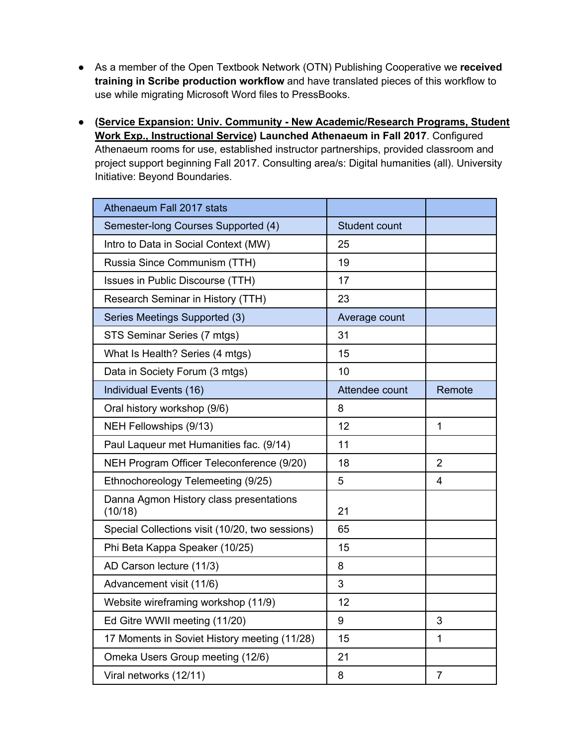- As a member of the Open Textbook Network (OTN) Publishing Cooperative we **received training in Scribe production workflow** and have translated pieces of this workflow to use while migrating Microsoft Word files to PressBooks.
- **(Service Expansion: Univ. Community - New Academic/Research Programs, Student Work Exp., Instructional Service) Launched Athenaeum in Fall 2017**. Configured Athenaeum rooms for use, established instructor partnerships, provided classroom and project support beginning Fall 2017. Consulting area/s: Digital humanities (all). University Initiative: Beyond Boundaries.

| Athenaeum Fall 2017 stats                          |                      |                |
|----------------------------------------------------|----------------------|----------------|
| Semester-long Courses Supported (4)                | <b>Student count</b> |                |
| Intro to Data in Social Context (MW)               | 25                   |                |
| Russia Since Communism (TTH)                       | 19                   |                |
| Issues in Public Discourse (TTH)                   | 17                   |                |
| Research Seminar in History (TTH)                  | 23                   |                |
| Series Meetings Supported (3)                      | Average count        |                |
| STS Seminar Series (7 mtgs)                        | 31                   |                |
| What Is Health? Series (4 mtgs)                    | 15                   |                |
| Data in Society Forum (3 mtgs)                     | 10                   |                |
| Individual Events (16)                             | Attendee count       | Remote         |
| Oral history workshop (9/6)                        | 8                    |                |
| NEH Fellowships (9/13)                             | 12                   | $\mathbf{1}$   |
| Paul Laqueur met Humanities fac. (9/14)            | 11                   |                |
| NEH Program Officer Teleconference (9/20)          | 18                   | $\overline{2}$ |
| Ethnochoreology Telemeeting (9/25)                 | 5                    | 4              |
| Danna Agmon History class presentations<br>(10/18) | 21                   |                |
| Special Collections visit (10/20, two sessions)    | 65                   |                |
| Phi Beta Kappa Speaker (10/25)                     | 15                   |                |
| AD Carson lecture (11/3)                           | 8                    |                |
| Advancement visit (11/6)                           | 3                    |                |
| Website wireframing workshop (11/9)                | 12                   |                |
| Ed Gitre WWII meeting (11/20)                      | 9                    | 3              |
| 17 Moments in Soviet History meeting (11/28)       | 15                   | 1              |
| Omeka Users Group meeting (12/6)                   | 21                   |                |
| Viral networks (12/11)                             | 8                    | $\overline{7}$ |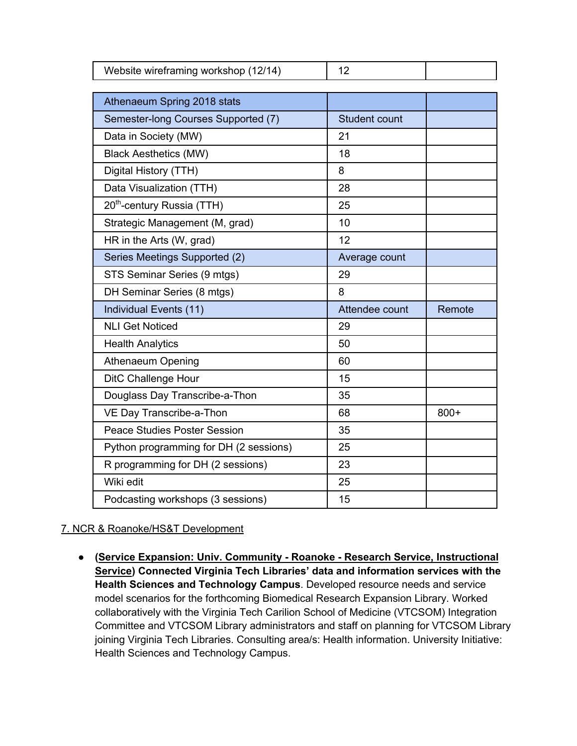| Website wireframing workshop (12/14)   | 12             |        |
|----------------------------------------|----------------|--------|
|                                        |                |        |
| Athenaeum Spring 2018 stats            |                |        |
| Semester-long Courses Supported (7)    | Student count  |        |
| Data in Society (MW)                   | 21             |        |
| <b>Black Aesthetics (MW)</b>           | 18             |        |
| Digital History (TTH)                  | 8              |        |
| Data Visualization (TTH)               | 28             |        |
| 20 <sup>th</sup> -century Russia (TTH) | 25             |        |
| Strategic Management (M, grad)         | 10             |        |
| HR in the Arts (W, grad)               | 12             |        |
| Series Meetings Supported (2)          | Average count  |        |
| STS Seminar Series (9 mtgs)            | 29             |        |
| DH Seminar Series (8 mtgs)             | 8              |        |
| Individual Events (11)                 | Attendee count | Remote |
| <b>NLI Get Noticed</b>                 | 29             |        |
| <b>Health Analytics</b>                | 50             |        |
| Athenaeum Opening                      | 60             |        |
| DitC Challenge Hour                    | 15             |        |
| Douglass Day Transcribe-a-Thon         | 35             |        |
| VE Day Transcribe-a-Thon               | 68             | $800+$ |
| <b>Peace Studies Poster Session</b>    | 35             |        |
| Python programming for DH (2 sessions) | 25             |        |
| R programming for DH (2 sessions)      | 23             |        |
| Wiki edit                              | 25             |        |
| Podcasting workshops (3 sessions)      | 15             |        |

#### 7. NCR & Roanoke/HS&T Development

● **(Service Expansion: Univ. Community - Roanoke - Research Service, Instructional Service) Connected Virginia Tech Libraries' data and information services with the Health Sciences and Technology Campus**. Developed resource needs and service model scenarios for the forthcoming Biomedical Research Expansion Library. Worked collaboratively with the Virginia Tech Carilion School of Medicine (VTCSOM) Integration Committee and VTCSOM Library administrators and staff on planning for VTCSOM Library joining Virginia Tech Libraries. Consulting area/s: Health information. University Initiative: Health Sciences and Technology Campus.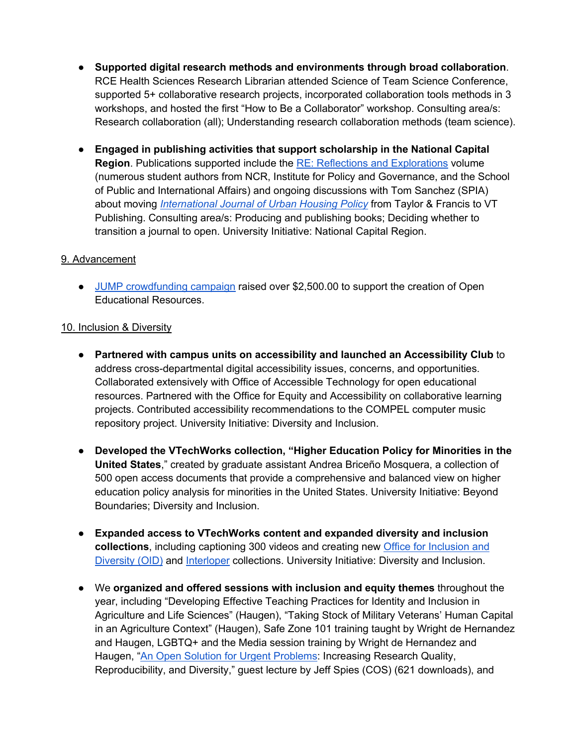- **Supported digital research methods and environments through broad collaboration**. RCE Health Sciences Research Librarian attended Science of Team Science Conference, supported 5+ collaborative research projects, incorporated collaboration tools methods in 3 workshops, and hosted the first "How to Be a Collaborator" workshop. Consulting area/s: Research collaboration (all); Understanding research collaboration methods (team science).
- **Engaged in publishing activities that support scholarship in the National Capital Region**. Publications supported include the RE: Reflections and Explorations volume (numerous student authors from NCR, Institute for Policy and Governance, and the School of Public and International Affairs) and ongoing discussions with Tom Sanchez (SPIA) about moving *International Journal of Urban Housing Policy* from Taylor & Francis to VT Publishing. Consulting area/s: Producing and publishing books; Deciding whether to transition a journal to open. University Initiative: National Capital Region.

#### 9. Advancement

● JUMP crowdfunding campaign raised over \$2,500.00 to support the creation of Open Educational Resources.

#### 10. Inclusion & Diversity

- **Partnered with campus units on accessibility and launched an Accessibility Club** to address cross-departmental digital accessibility issues, concerns, and opportunities. Collaborated extensively with Office of Accessible Technology for open educational resources. Partnered with the Office for Equity and Accessibility on collaborative learning projects. Contributed accessibility recommendations to the COMPEL computer music repository project. University Initiative: Diversity and Inclusion.
- **Developed the VTechWorks collection, "Higher Education Policy for Minorities in the United States**," created by graduate assistant Andrea Briceño Mosquera, a collection of 500 open access documents that provide a comprehensive and balanced view on higher education policy analysis for minorities in the United States. University Initiative: Beyond Boundaries; Diversity and Inclusion.
- **Expanded access to VTechWorks content and expanded diversity and inclusion collections**, including captioning 300 videos and creating new Office for Inclusion and Diversity (OID) and Interloper collections. University Initiative: Diversity and Inclusion.
- We **organized and offered sessions with inclusion and equity themes** throughout the year, including "Developing Effective Teaching Practices for Identity and Inclusion in Agriculture and Life Sciences" (Haugen), "Taking Stock of Military Veterans' Human Capital in an Agriculture Context" (Haugen), Safe Zone 101 training taught by Wright de Hernandez and Haugen, LGBTQ+ and the Media session training by Wright de Hernandez and Haugen, "An Open Solution for Urgent Problems: Increasing Research Quality, Reproducibility, and Diversity," guest lecture by Jeff Spies (COS) (621 downloads), and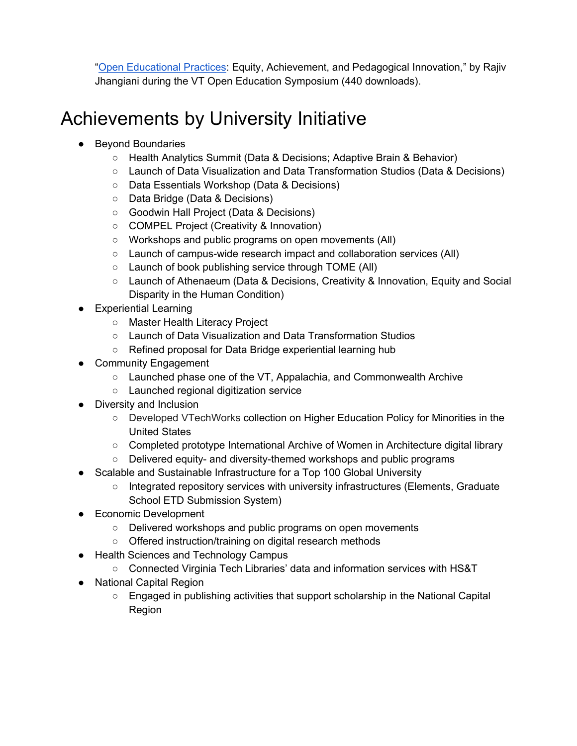"Open Educational Practices: Equity, Achievement, and Pedagogical Innovation," by Rajiv Jhangiani during the VT Open Education Symposium (440 downloads).

### Achievements by University Initiative

- **Beyond Boundaries** 
	- Health Analytics Summit (Data & Decisions; Adaptive Brain & Behavior)
	- Launch of Data Visualization and Data Transformation Studios (Data & Decisions)
	- Data Essentials Workshop (Data & Decisions)
	- Data Bridge (Data & Decisions)
	- Goodwin Hall Project (Data & Decisions)
	- COMPEL Project (Creativity & Innovation)
	- Workshops and public programs on open movements (All)
	- Launch of campus-wide research impact and collaboration services (All)
	- Launch of book publishing service through TOME (All)
	- Launch of Athenaeum (Data & Decisions, Creativity & Innovation, Equity and Social Disparity in the Human Condition)
- **Experiential Learning** 
	- Master Health Literacy Project
	- Launch of Data Visualization and Data Transformation Studios
	- Refined proposal for Data Bridge experiential learning hub
- Community Engagement
	- Launched phase one of the VT, Appalachia, and Commonwealth Archive
	- Launched regional digitization service
- Diversity and Inclusion
	- Developed VTechWorks collection on Higher Education Policy for Minorities in the United States
	- Completed prototype International Archive of Women in Architecture digital library
	- Delivered equity- and diversity-themed workshops and public programs
- Scalable and Sustainable Infrastructure for a Top 100 Global University
	- Integrated repository services with university infrastructures (Elements, Graduate School ETD Submission System)
- Economic Development
	- Delivered workshops and public programs on open movements
	- Offered instruction/training on digital research methods
- Health Sciences and Technology Campus
	- Connected Virginia Tech Libraries' data and information services with HS&T
- National Capital Region
	- Engaged in publishing activities that support scholarship in the National Capital Region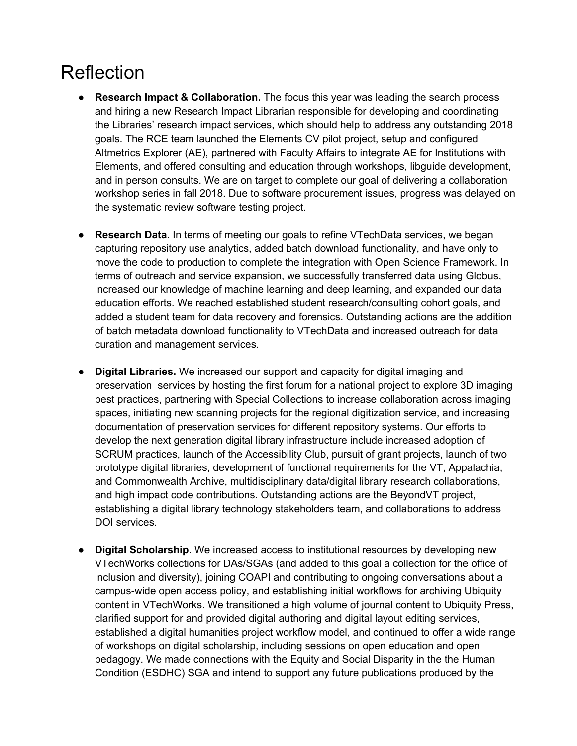### Reflection

- **Research Impact & Collaboration.** The focus this year was leading the search process and hiring a new Research Impact Librarian responsible for developing and coordinating the Libraries' research impact services, which should help to address any outstanding 2018 goals. The RCE team launched the Elements CV pilot project, setup and configured Altmetrics Explorer (AE), partnered with Faculty Affairs to integrate AE for Institutions with Elements, and offered consulting and education through workshops, libguide development, and in person consults. We are on target to complete our goal of delivering a collaboration workshop series in fall 2018. Due to software procurement issues, progress was delayed on the systematic review software testing project.
- **Research Data.** In terms of meeting our goals to refine VTechData services, we began capturing repository use analytics, added batch download functionality, and have only to move the code to production to complete the integration with Open Science Framework. In terms of outreach and service expansion, we successfully transferred data using Globus, increased our knowledge of machine learning and deep learning, and expanded our data education efforts. We reached established student research/consulting cohort goals, and added a student team for data recovery and forensics. Outstanding actions are the addition of batch metadata download functionality to VTechData and increased outreach for data curation and management services.
- **Digital Libraries.** We increased our support and capacity for digital imaging and preservation services by hosting the first forum for a national project to explore 3D imaging best practices, partnering with Special Collections to increase collaboration across imaging spaces, initiating new scanning projects for the regional digitization service, and increasing documentation of preservation services for different repository systems. Our efforts to develop the next generation digital library infrastructure include increased adoption of SCRUM practices, launch of the Accessibility Club, pursuit of grant projects, launch of two prototype digital libraries, development of functional requirements for the VT, Appalachia, and Commonwealth Archive, multidisciplinary data/digital library research collaborations, and high impact code contributions. Outstanding actions are the BeyondVT project, establishing a digital library technology stakeholders team, and collaborations to address DOI services.
- **Digital Scholarship.** We increased access to institutional resources by developing new VTechWorks collections for DAs/SGAs (and added to this goal a collection for the office of inclusion and diversity), joining COAPI and contributing to ongoing conversations about a campus-wide open access policy, and establishing initial workflows for archiving Ubiquity content in VTechWorks. We transitioned a high volume of journal content to Ubiquity Press, clarified support for and provided digital authoring and digital layout editing services, established a digital humanities project workflow model, and continued to offer a wide range of workshops on digital scholarship, including sessions on open education and open pedagogy. We made connections with the Equity and Social Disparity in the the Human Condition (ESDHC) SGA and intend to support any future publications produced by the